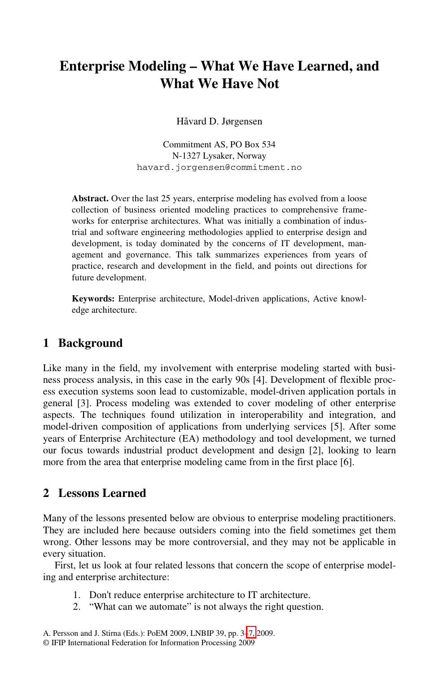# **Enterprise Modeling – What We Have Learned, and What We Have Not**

Håvard D. Jørgensen

Commitment AS, PO Box 534 N-1327 Lysaker, Norway havard.jorgensen@commitment.no

**Abstract.** Over the last 25 years, enterprise modeling has evolved from a loose collection of business oriented modeling practices to comprehensive frameworks for enterprise architectures. What was initially a combination of industrial and software engineering methodologies applied to enterprise design and development, is today dominated by the concerns of IT development, management and governance. This talk summarizes experiences from years of practice, research and development in the field, and points out directions for future development.

**Keywords:** Enterprise architecture, Model-driven applications, Active knowledge architecture.

#### **1 Background**

Like many in the field, my involvement with enterprise modeling started with business process analysis, in this case in the early 90s [4]. Development of flexible process execution systems soon lead to customizable, model-driven application portals in general [3]. Process modeling was extended to cover modeling of other enterprise aspects. The techniques found utilization in interoperability and integration, and model-driven composition of applications from underlying services [5]. After some years of Enterprise Architecture (EA) methodology and tool development, we turned our focus towards industrial product development and design [2], looking to learn more from the area that enterprise modeling came from in the first place [6].

#### **2 Lessons Learned**

Many of the lessons presented below are obvious to enterprise modeling practitioners. They are included here because outsiders coming into the field sometimes get them wrong. Other lessons may b[e m](#page-4-0)ore controversial, and they may not be applicable in every situation.

First, let us look at four related lessons that concern the scope of enterprise modeling and enterprise architecture:

- 1. Don't reduce enterprise architecture to IT architecture.
- 2. "What can we automate" is not always the right question.

A. Persson and J. Stirna (Eds.): PoEM 2009, LNBIP 39, pp. 3–7, 2009.

<sup>©</sup> IFIP International Federation for Information Processing 2009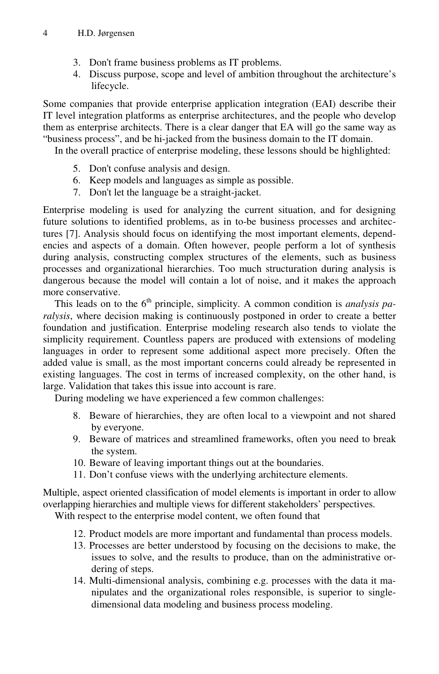- 3. Don't frame business problems as IT problems.
- 4. Discuss purpose, scope and level of ambition throughout the architecture's lifecycle.

Some companies that provide enterprise application integration (EAI) describe their IT level integration platforms as enterprise architectures, and the people who develop them as enterprise architects. There is a clear danger that EA will go the same way as "business process", and be hi-jacked from the business domain to the IT domain.

In the overall practice of enterprise modeling, these lessons should be highlighted:

- 5. Don't confuse analysis and design.
- 6. Keep models and languages as simple as possible.
- 7. Don't let the language be a straight-jacket.

Enterprise modeling is used for analyzing the current situation, and for designing future solutions to identified problems, as in to-be business processes and architectures [7]. Analysis should focus on identifying the most important elements, dependencies and aspects of a domain. Often however, people perform a lot of synthesis during analysis, constructing complex structures of the elements, such as business processes and organizational hierarchies. Too much structuration during analysis is dangerous because the model will contain a lot of noise, and it makes the approach more conservative.

This leads on to the 6<sup>th</sup> principle, simplicity. A common condition is *analysis paralysis*, where decision making is continuously postponed in order to create a better foundation and justification. Enterprise modeling research also tends to violate the simplicity requirement. Countless papers are produced with extensions of modeling languages in order to represent some additional aspect more precisely. Often the added value is small, as the most important concerns could already be represented in existing languages. The cost in terms of increased complexity, on the other hand, is large. Validation that takes this issue into account is rare.

During modeling we have experienced a few common challenges:

- 8. Beware of hierarchies, they are often local to a viewpoint and not shared by everyone.
- 9. Beware of matrices and streamlined frameworks, often you need to break the system.
- 10. Beware of leaving important things out at the boundaries.
- 11. Don't confuse views with the underlying architecture elements.

Multiple, aspect oriented classification of model elements is important in order to allow overlapping hierarchies and multiple views for different stakeholders' perspectives.

With respect to the enterprise model content, we often found that

- 12. Product models are more important and fundamental than process models.
- 13. Processes are better understood by focusing on the decisions to make, the issues to solve, and the results to produce, than on the administrative ordering of steps.
- 14. Multi-dimensional analysis, combining e.g. processes with the data it manipulates and the organizational roles responsible, is superior to singledimensional data modeling and business process modeling.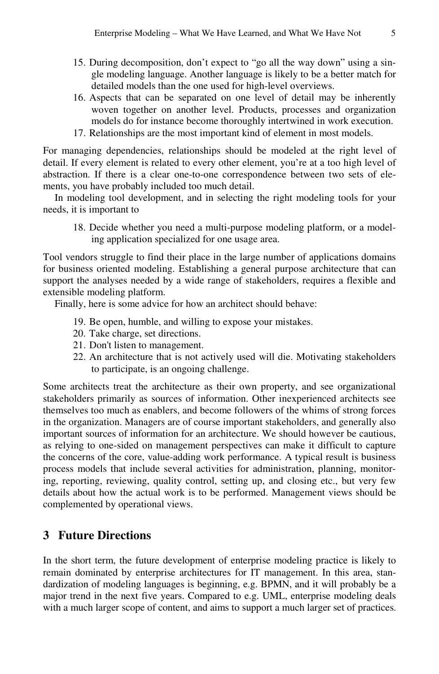- 15. During decomposition, don't expect to "go all the way down" using a single modeling language. Another language is likely to be a better match for detailed models than the one used for high-level overviews.
- 16. Aspects that can be separated on one level of detail may be inherently woven together on another level. Products, processes and organization models do for instance become thoroughly intertwined in work execution.
- 17. Relationships are the most important kind of element in most models.

For managing dependencies, relationships should be modeled at the right level of detail. If every element is related to every other element, you're at a too high level of abstraction. If there is a clear one-to-one correspondence between two sets of elements, you have probably included too much detail.

In modeling tool development, and in selecting the right modeling tools for your needs, it is important to

18. Decide whether you need a multi-purpose modeling platform, or a modeling application specialized for one usage area.

Tool vendors struggle to find their place in the large number of applications domains for business oriented modeling. Establishing a general purpose architecture that can support the analyses needed by a wide range of stakeholders, requires a flexible and extensible modeling platform.

Finally, here is some advice for how an architect should behave:

- 19. Be open, humble, and willing to expose your mistakes.
- 20. Take charge, set directions.
- 21. Don't listen to management.
- 22. An architecture that is not actively used will die. Motivating stakeholders to participate, is an ongoing challenge.

Some architects treat the architecture as their own property, and see organizational stakeholders primarily as sources of information. Other inexperienced architects see themselves too much as enablers, and become followers of the whims of strong forces in the organization. Managers are of course important stakeholders, and generally also important sources of information for an architecture. We should however be cautious, as relying to one-sided on management perspectives can make it difficult to capture the concerns of the core, value-adding work performance. A typical result is business process models that include several activities for administration, planning, monitoring, reporting, reviewing, quality control, setting up, and closing etc., but very few details about how the actual work is to be performed. Management views should be complemented by operational views.

#### **3 Future Directions**

In the short term, the future development of enterprise modeling practice is likely to remain dominated by enterprise architectures for IT management. In this area, standardization of modeling languages is beginning, e.g. BPMN, and it will probably be a major trend in the next five years. Compared to e.g. UML, enterprise modeling deals with a much larger scope of content, and aims to support a much larger set of practices.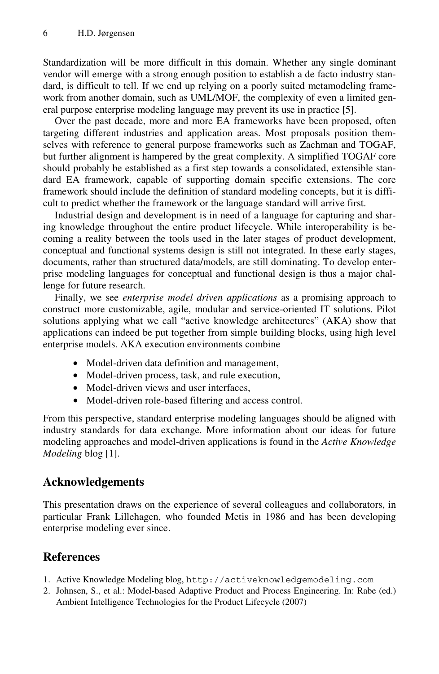Standardization will be more difficult in this domain. Whether any single dominant vendor will emerge with a strong enough position to establish a de facto industry standard, is difficult to tell. If we end up relying on a poorly suited metamodeling framework from another domain, such as UML/MOF, the complexity of even a limited general purpose enterprise modeling language may prevent its use in practice [5].

Over the past decade, more and more EA frameworks have been proposed, often targeting different industries and application areas. Most proposals position themselves with reference to general purpose frameworks such as Zachman and TOGAF, but further alignment is hampered by the great complexity. A simplified TOGAF core should probably be established as a first step towards a consolidated, extensible standard EA framework, capable of supporting domain specific extensions. The core framework should include the definition of standard modeling concepts, but it is difficult to predict whether the framework or the language standard will arrive first.

Industrial design and development is in need of a language for capturing and sharing knowledge throughout the entire product lifecycle. While interoperability is becoming a reality between the tools used in the later stages of product development, conceptual and functional systems design is still not integrated. In these early stages, documents, rather than structured data/models, are still dominating. To develop enterprise modeling languages for conceptual and functional design is thus a major challenge for future research.

Finally, we see *enterprise model driven applications* as a promising approach to construct more customizable, agile, modular and service-oriented IT solutions. Pilot solutions applying what we call "active knowledge architectures" (AKA) show that applications can indeed be put together from simple building blocks, using high level enterprise models. AKA execution environments combine

- Model-driven data definition and management,
- Model-driven process, task, and rule execution,
- Model-driven views and user interfaces,
- Model-driven role-based filtering and access control.

From this perspective, standard enterprise modeling languages should be aligned with industry standards for data exchange. More information about our ideas for future modeling approaches and model-driven applications is found in the *Active Knowledge Modeling* blog [1].

### **Acknowledgements**

This presentation draws on the experience of several colleagues and collaborators, in particular Frank Lillehagen, who founded Metis in 1986 and has been developing enterprise modeling ever since.

## **References**

- 1. Active Knowledge Modeling blog, http://activeknowledgemodeling.com
- 2. Johnsen, S., et al.: Model-based Adaptive Product and Process Engineering. In: Rabe (ed.) Ambient Intelligence Technologies for the Product Lifecycle (2007)